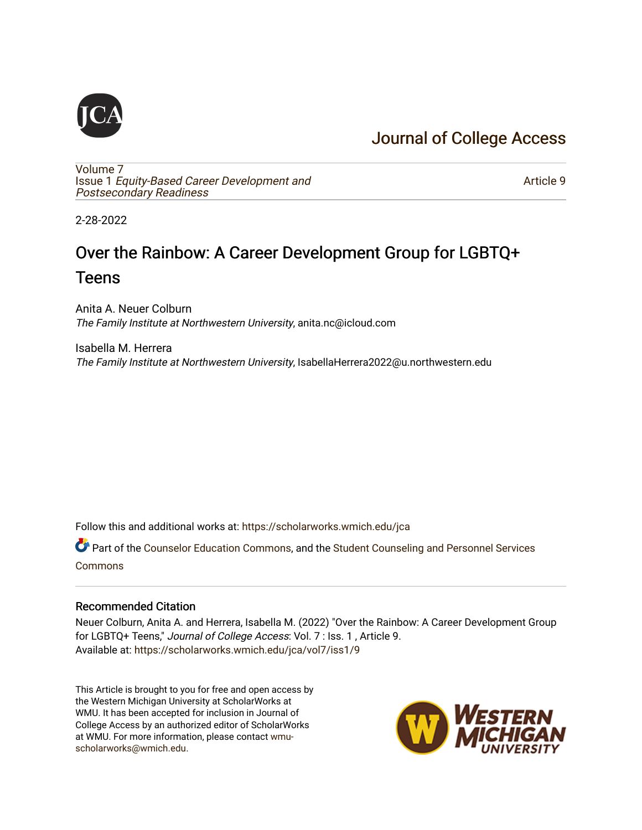# [Journal of College Access](https://scholarworks.wmich.edu/jca)

[Volume 7](https://scholarworks.wmich.edu/jca/vol7) Issue 1 [Equity-Based Career Development and](https://scholarworks.wmich.edu/jca/vol7/iss1) [Postsecondary Readiness](https://scholarworks.wmich.edu/jca/vol7/iss1) 

[Article 9](https://scholarworks.wmich.edu/jca/vol7/iss1/9) 

2-28-2022

# Over the Rainbow: A Career Development Group for LGBTQ+ **Teens**

Anita A. Neuer Colburn The Family Institute at Northwestern University, anita.nc@icloud.com

Isabella M. Herrera The Family Institute at Northwestern University, IsabellaHerrera2022@u.northwestern.edu

Follow this and additional works at: [https://scholarworks.wmich.edu/jca](https://scholarworks.wmich.edu/jca?utm_source=scholarworks.wmich.edu%2Fjca%2Fvol7%2Fiss1%2F9&utm_medium=PDF&utm_campaign=PDFCoverPages)

Part of the [Counselor Education Commons,](http://network.bepress.com/hgg/discipline/1278?utm_source=scholarworks.wmich.edu%2Fjca%2Fvol7%2Fiss1%2F9&utm_medium=PDF&utm_campaign=PDFCoverPages) and the [Student Counseling and Personnel Services](http://network.bepress.com/hgg/discipline/802?utm_source=scholarworks.wmich.edu%2Fjca%2Fvol7%2Fiss1%2F9&utm_medium=PDF&utm_campaign=PDFCoverPages)  [Commons](http://network.bepress.com/hgg/discipline/802?utm_source=scholarworks.wmich.edu%2Fjca%2Fvol7%2Fiss1%2F9&utm_medium=PDF&utm_campaign=PDFCoverPages)

#### Recommended Citation

Neuer Colburn, Anita A. and Herrera, Isabella M. (2022) "Over the Rainbow: A Career Development Group for LGBTQ+ Teens," Journal of College Access: Vol. 7 : Iss. 1 , Article 9. Available at: [https://scholarworks.wmich.edu/jca/vol7/iss1/9](https://scholarworks.wmich.edu/jca/vol7/iss1/9?utm_source=scholarworks.wmich.edu%2Fjca%2Fvol7%2Fiss1%2F9&utm_medium=PDF&utm_campaign=PDFCoverPages) 

This Article is brought to you for free and open access by the Western Michigan University at ScholarWorks at WMU. It has been accepted for inclusion in Journal of College Access by an authorized editor of ScholarWorks at WMU. For more information, please contact [wmu](mailto:wmu-scholarworks@wmich.edu)[scholarworks@wmich.edu.](mailto:wmu-scholarworks@wmich.edu)

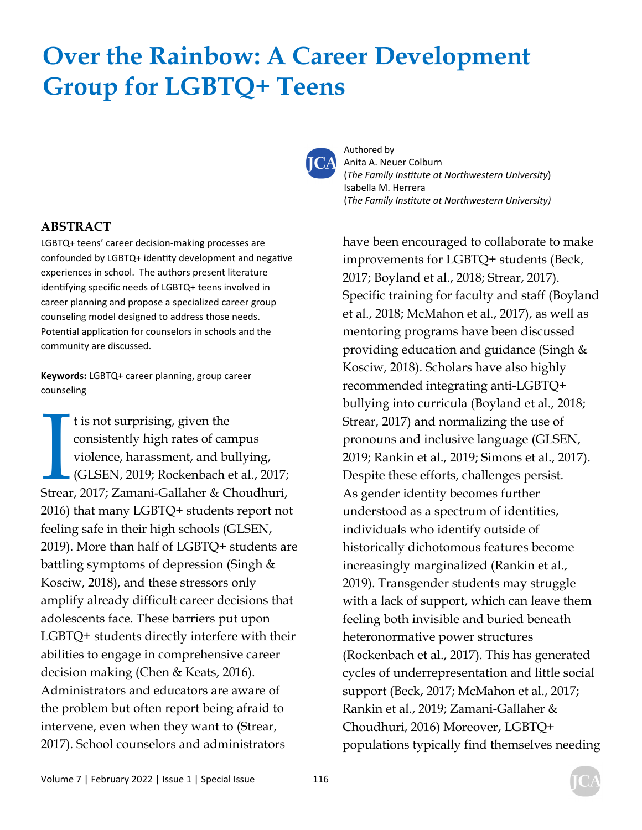# **Over the Rainbow: A Career Development Group for LGBTQ+ Teens**



Authored by Anita A. Neuer Colburn (*The Family InsƟtute at Northwestern University*) Isabella M. Herrera (*The Family InsƟtute at Northwestern University)*

have been encouraged to collaborate to make improvements for LGBTQ+ students (Beck, 2017; Boyland et al., 2018; Strear, 2017). Specific training for faculty and staff (Boyland et al., 2018; McMahon et al., 2017), as well as mentoring programs have been discussed providing education and guidance (Singh & Kosciw, 2018). Scholars have also highly recommended integrating anti-LGBTQ+ bullying into curricula (Boyland et al., 2018; Strear, 2017) and normalizing the use of pronouns and inclusive language (GLSEN, 2019; Rankin et al., 2019; Simons et al., 2017). Despite these efforts, challenges persist. As gender identity becomes further understood as a spectrum of identities, individuals who identify outside of historically dichotomous features become increasingly marginalized (Rankin et al., 2019). Transgender students may struggle with a lack of support, which can leave them feeling both invisible and buried beneath heteronormative power structures (Rockenbach et al., 2017). This has generated cycles of underrepresentation and little social support (Beck, 2017; McMahon et al., 2017; Rankin et al., 2019; Zamani-Gallaher & Choudhuri, 2016) Moreover, LGBTQ+ populations typically find themselves needing

#### **ABSTRACT**

LGBTQ+ teens' career decision-making processes are confounded by LGBTQ+ identity development and negative experiences in school. The authors present literature identifying specific needs of LGBTQ+ teens involved in career planning and propose a specialized career group counseling model designed to address those needs. Potential application for counselors in schools and the community are discussed.

**Keywords:** LGBTQ+ career planning, group career counseling

t is not surprising, given the<br>consistently high rates of campus<br>violence, harassment, and bullying,<br>(GLSEN, 2019; Rockenbach et al., 2017;<br>Strear, 2017; Zamani-Gallaher & Choudhuri, t is not surprising, given the consistently high rates of campus violence, harassment, and bullying, (GLSEN, 2019; Rockenbach et al., 2017; 2016) that many LGBTQ+ students report not feeling safe in their high schools (GLSEN, 2019). More than half of LGBTQ+ students are battling symptoms of depression (Singh & Kosciw, 2018), and these stressors only amplify already difficult career decisions that adolescents face. These barriers put upon LGBTQ+ students directly interfere with their abilities to engage in comprehensive career decision making (Chen & Keats, 2016). Administrators and educators are aware of the problem but often report being afraid to intervene, even when they want to (Strear, 2017). School counselors and administrators

Volume 7 | February 2022 | Issue 1 | Special Issue 116

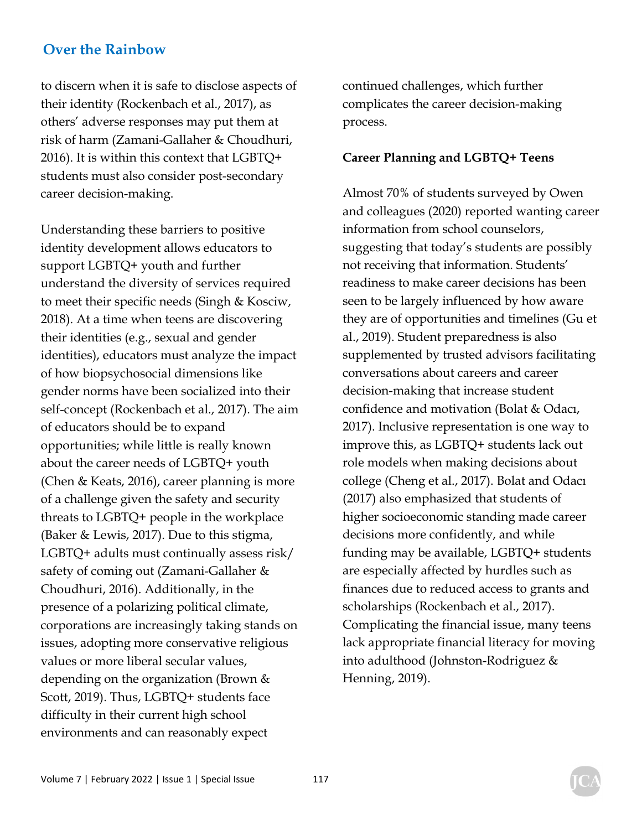to discern when it is safe to disclose aspects of their identity (Rockenbach et al., 2017), as others' adverse responses may put them at risk of harm (Zamani-Gallaher & Choudhuri, 2016). It is within this context that LGBTQ+ students must also consider post-secondary career decision-making.

Understanding these barriers to positive identity development allows educators to support LGBTQ+ youth and further understand the diversity of services required to meet their specific needs (Singh & Kosciw, 2018). At a time when teens are discovering their identities (e.g., sexual and gender identities), educators must analyze the impact of how biopsychosocial dimensions like gender norms have been socialized into their self-concept (Rockenbach et al., 2017). The aim of educators should be to expand opportunities; while little is really known about the career needs of LGBTQ+ youth (Chen & Keats, 2016), career planning is more of a challenge given the safety and security threats to LGBTQ+ people in the workplace (Baker & Lewis, 2017). Due to this stigma, LGBTQ+ adults must continually assess risk/ safety of coming out (Zamani-Gallaher & Choudhuri, 2016). Additionally, in the presence of a polarizing political climate, corporations are increasingly taking stands on issues, adopting more conservative religious values or more liberal secular values, depending on the organization (Brown & Scott, 2019). Thus, LGBTQ+ students face difficulty in their current high school environments and can reasonably expect

continued challenges, which further complicates the career decision-making process.

#### **Career Planning and LGBTQ+ Teens**

Almost 70% of students surveyed by Owen and colleagues (2020) reported wanting career information from school counselors, suggesting that today's students are possibly not receiving that information. Students' readiness to make career decisions has been seen to be largely influenced by how aware they are of opportunities and timelines (Gu et al., 2019). Student preparedness is also supplemented by trusted advisors facilitating conversations about careers and career decision-making that increase student confidence and motivation (Bolat & Odacı, 2017). Inclusive representation is one way to improve this, as LGBTQ+ students lack out role models when making decisions about college (Cheng et al., 2017). Bolat and Odacı (2017) also emphasized that students of higher socioeconomic standing made career decisions more confidently, and while funding may be available, LGBTQ+ students are especially affected by hurdles such as finances due to reduced access to grants and scholarships (Rockenbach et al., 2017). Complicating the financial issue, many teens lack appropriate financial literacy for moving into adulthood (Johnston-Rodriguez & Henning, 2019).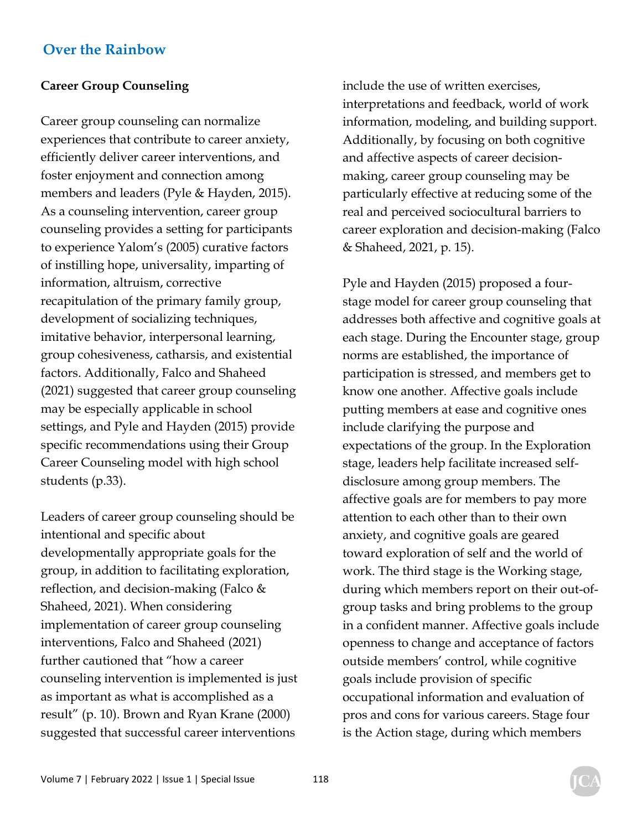## **Career Group Counseling**

Career group counseling can normalize experiences that contribute to career anxiety, efficiently deliver career interventions, and foster enjoyment and connection among members and leaders (Pyle & Hayden, 2015). As a counseling intervention, career group counseling provides a setting for participants to experience Yalom's (2005) curative factors of instilling hope, universality, imparting of information, altruism, corrective recapitulation of the primary family group, development of socializing techniques, imitative behavior, interpersonal learning, group cohesiveness, catharsis, and existential factors. Additionally, Falco and Shaheed (2021) suggested that career group counseling may be especially applicable in school settings, and Pyle and Hayden (2015) provide specific recommendations using their Group Career Counseling model with high school students (p.33).

Leaders of career group counseling should be intentional and specific about developmentally appropriate goals for the group, in addition to facilitating exploration, reflection, and decision-making (Falco  $&$ Shaheed, 2021). When considering implementation of career group counseling interventions, Falco and Shaheed (2021) further cautioned that "how a career counseling intervention is implemented is just as important as what is accomplished as a result" (p. 10). Brown and Ryan Krane (2000) suggested that successful career interventions

include the use of written exercises, interpretations and feedback, world of work information, modeling, and building support. Additionally, by focusing on both cognitive and affective aspects of career decisionmaking, career group counseling may be particularly effective at reducing some of the real and perceived sociocultural barriers to career exploration and decision-making (Falco & Shaheed, 2021, p. 15).

Pyle and Hayden (2015) proposed a fourstage model for career group counseling that addresses both affective and cognitive goals at each stage. During the Encounter stage, group norms are established, the importance of participation is stressed, and members get to know one another. Affective goals include putting members at ease and cognitive ones include clarifying the purpose and expectations of the group. In the Exploration stage, leaders help facilitate increased selfdisclosure among group members. The affective goals are for members to pay more attention to each other than to their own anxiety, and cognitive goals are geared toward exploration of self and the world of work. The third stage is the Working stage, during which members report on their out-ofgroup tasks and bring problems to the group in a confident manner. Affective goals include openness to change and acceptance of factors outside members' control, while cognitive goals include provision of specific occupational information and evaluation of pros and cons for various careers. Stage four is the Action stage, during which members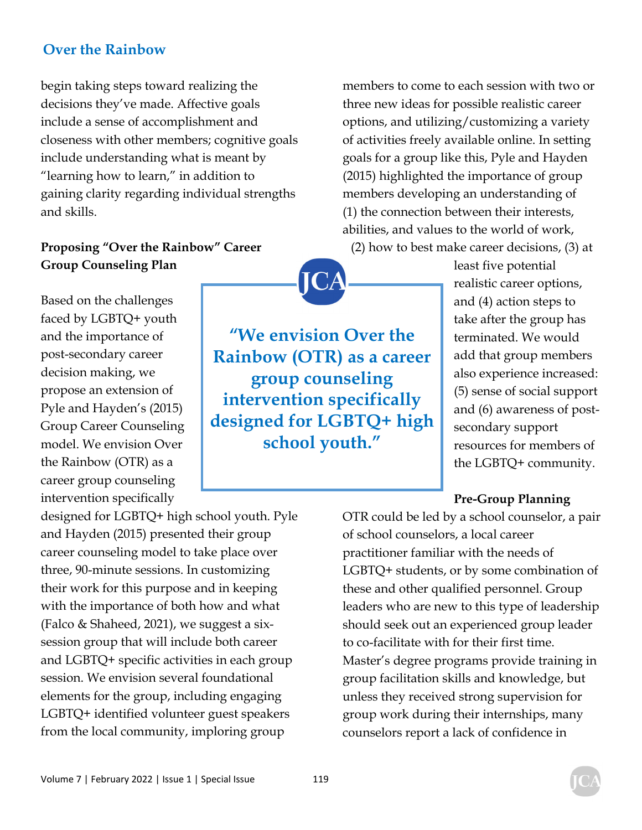begin taking steps toward realizing the decisions they've made. Affective goals include a sense of accomplishment and closeness with other members; cognitive goals include understanding what is meant by "learning how to learn," in addition to gaining clarity regarding individual strengths and skills.

## **Proposing "Over the Rainbow" Career Group Counseling Plan**

Based on the challenges faced by LGBTQ+ youth and the importance of post-secondary career decision making, we propose an extension of Pyle and Hayden's (2015) Group Career Counseling model. We envision Over the Rainbow (OTR) as a career group counseling intervention specifically

designed for LGBTQ+ high school youth. Pyle and Hayden (2015) presented their group career counseling model to take place over three, 90-minute sessions. In customizing their work for this purpose and in keeping with the importance of both how and what (Falco & Shaheed, 2021), we suggest a sixsession group that will include both career and LGBTQ+ specific activities in each group session. We envision several foundational elements for the group, including engaging LGBTQ+ identified volunteer guest speakers from the local community, imploring group

**"We envision Over the Rainbow (OTR) as a career group counseling intervention specifically designed for LGBTQ+ high school youth."** 

members to come to each session with two or three new ideas for possible realistic career options, and utilizing/customizing a variety of activities freely available online. In setting goals for a group like this, Pyle and Hayden (2015) highlighted the importance of group members developing an understanding of (1) the connection between their interests, abilities, and values to the world of work, (2) how to best make career decisions, (3) at

> least five potential realistic career options, and (4) action steps to take after the group has terminated. We would add that group members also experience increased: (5) sense of social support and (6) awareness of postsecondary support resources for members of the LGBTQ+ community.

## **Pre-Group Planning**

OTR could be led by a school counselor, a pair of school counselors, a local career practitioner familiar with the needs of LGBTQ+ students, or by some combination of these and other qualified personnel. Group leaders who are new to this type of leadership should seek out an experienced group leader to co-facilitate with for their first time. Master's degree programs provide training in group facilitation skills and knowledge, but unless they received strong supervision for group work during their internships, many counselors report a lack of confidence in

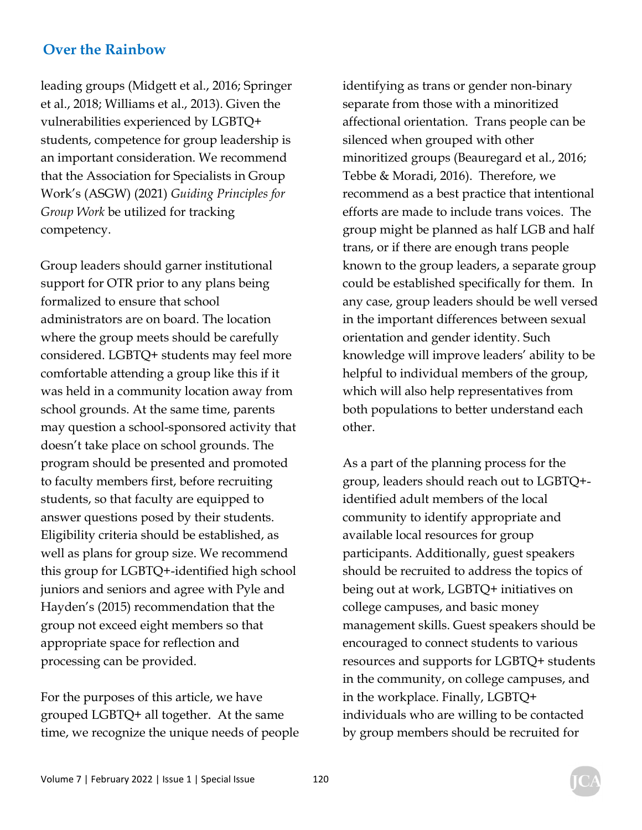leading groups (Midgett et al., 2016; Springer et al., 2018; Williams et al., 2013). Given the vulnerabilities experienced by LGBTQ+ students, competence for group leadership is an important consideration. We recommend that the Association for Specialists in Group Work's (ASGW) (2021) *Guiding Principles for Group Work* be utilized for tracking competency.

Group leaders should garner institutional support for OTR prior to any plans being formalized to ensure that school administrators are on board. The location where the group meets should be carefully considered. LGBTQ+ students may feel more comfortable attending a group like this if it was held in a community location away from school grounds. At the same time, parents may question a school-sponsored activity that doesn't take place on school grounds. The program should be presented and promoted to faculty members first, before recruiting students, so that faculty are equipped to answer questions posed by their students. Eligibility criteria should be established, as well as plans for group size. We recommend this group for LGBTQ+-identified high school juniors and seniors and agree with Pyle and Hayden's (2015) recommendation that the group not exceed eight members so that appropriate space for reflection and processing can be provided.

For the purposes of this article, we have grouped LGBTQ+ all together. At the same time, we recognize the unique needs of people identifying as trans or gender non-binary separate from those with a minoritized affectional orientation. Trans people can be silenced when grouped with other minoritized groups (Beauregard et al., 2016; Tebbe & Moradi, 2016). Therefore, we recommend as a best practice that intentional efforts are made to include trans voices. The group might be planned as half LGB and half trans, or if there are enough trans people known to the group leaders, a separate group could be established specifically for them. In any case, group leaders should be well versed in the important differences between sexual orientation and gender identity. Such knowledge will improve leaders' ability to be helpful to individual members of the group, which will also help representatives from both populations to better understand each other.

As a part of the planning process for the group, leaders should reach out to LGBTQ+ identified adult members of the local community to identify appropriate and available local resources for group participants. Additionally, guest speakers should be recruited to address the topics of being out at work, LGBTQ+ initiatives on college campuses, and basic money management skills. Guest speakers should be encouraged to connect students to various resources and supports for LGBTQ+ students in the community, on college campuses, and in the workplace. Finally, LGBTQ+ individuals who are willing to be contacted by group members should be recruited for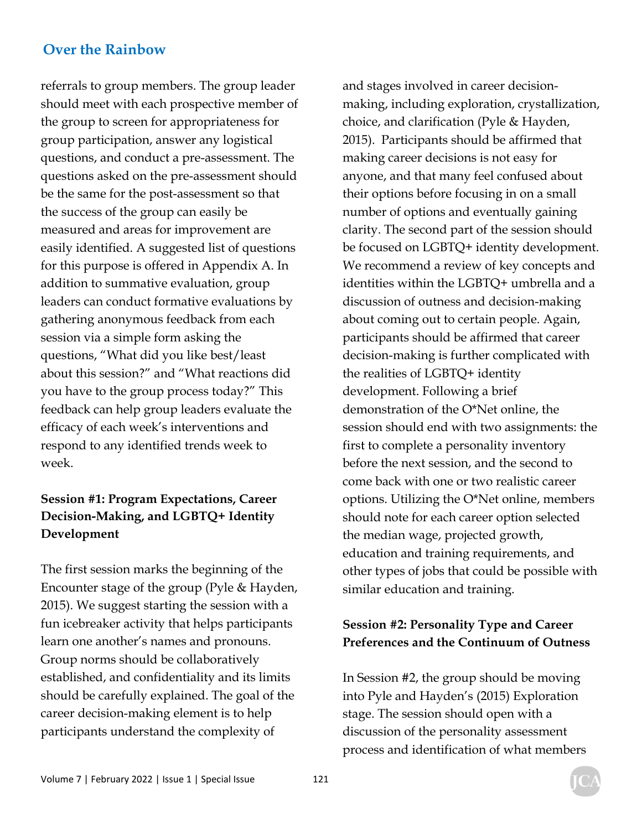referrals to group members. The group leader should meet with each prospective member of the group to screen for appropriateness for group participation, answer any logistical questions, and conduct a pre-assessment. The questions asked on the pre-assessment should be the same for the post-assessment so that the success of the group can easily be measured and areas for improvement are easily identified. A suggested list of questions for this purpose is offered in Appendix A. In addition to summative evaluation, group leaders can conduct formative evaluations by gathering anonymous feedback from each session via a simple form asking the questions, "What did you like best/least about this session?" and "What reactions did you have to the group process today?" This feedback can help group leaders evaluate the efficacy of each week's interventions and respond to any identified trends week to week.

# **Session #1: Program Expectations, Career Decision-Making, and LGBTQ+ Identity Development**

The first session marks the beginning of the Encounter stage of the group (Pyle & Hayden, 2015). We suggest starting the session with a fun icebreaker activity that helps participants learn one another's names and pronouns. Group norms should be collaboratively established, and confidentiality and its limits should be carefully explained. The goal of the career decision-making element is to help participants understand the complexity of

and stages involved in career decisionmaking, including exploration, crystallization, choice, and clarification (Pyle & Hayden, 2015). Participants should be affirmed that making career decisions is not easy for anyone, and that many feel confused about their options before focusing in on a small number of options and eventually gaining clarity. The second part of the session should be focused on LGBTQ+ identity development. We recommend a review of key concepts and identities within the LGBTQ+ umbrella and a discussion of outness and decision-making about coming out to certain people. Again, participants should be affirmed that career decision-making is further complicated with the realities of LGBTQ+ identity development. Following a brief demonstration of the O\*Net online, the session should end with two assignments: the first to complete a personality inventory before the next session, and the second to come back with one or two realistic career options. Utilizing the O\*Net online, members should note for each career option selected the median wage, projected growth, education and training requirements, and other types of jobs that could be possible with similar education and training.

# **Session #2: Personality Type and Career Preferences and the Continuum of Outness**

In Session #2, the group should be moving into Pyle and Hayden's (2015) Exploration stage. The session should open with a discussion of the personality assessment process and identification of what members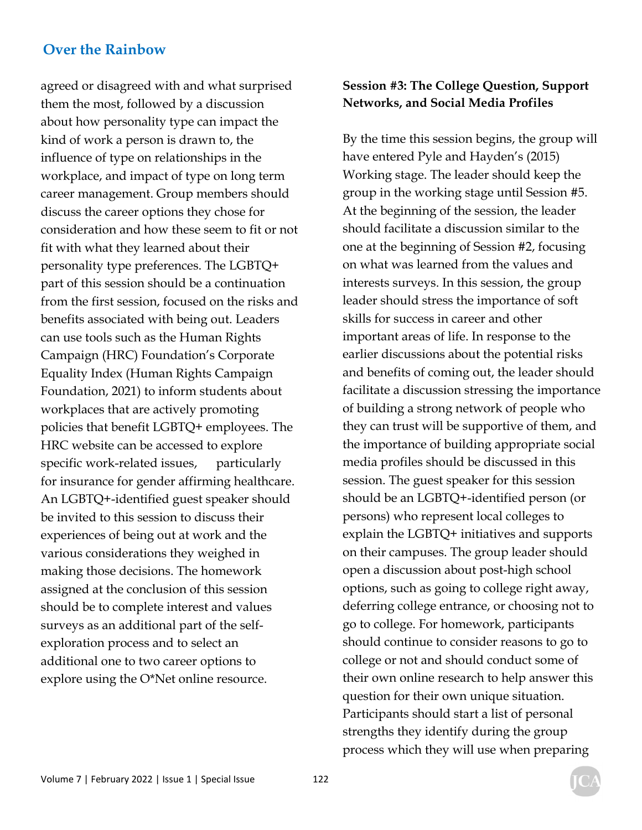agreed or disagreed with and what surprised them the most, followed by a discussion about how personality type can impact the kind of work a person is drawn to, the influence of type on relationships in the workplace, and impact of type on long term career management. Group members should discuss the career options they chose for consideration and how these seem to fit or not fit with what they learned about their personality type preferences. The LGBTQ+ part of this session should be a continuation from the first session, focused on the risks and benefits associated with being out. Leaders can use tools such as the Human Rights Campaign (HRC) Foundation's Corporate Equality Index (Human Rights Campaign Foundation, 2021) to inform students about workplaces that are actively promoting policies that benefit LGBTQ+ employees. The HRC website can be accessed to explore specific work-related issues, particularly for insurance for gender affirming healthcare. An LGBTQ+-identified guest speaker should be invited to this session to discuss their experiences of being out at work and the various considerations they weighed in making those decisions. The homework assigned at the conclusion of this session should be to complete interest and values surveys as an additional part of the selfexploration process and to select an additional one to two career options to explore using the O\*Net online resource.

# **Session #3: The College Question, Support Networks, and Social Media Profiles**

By the time this session begins, the group will have entered Pyle and Hayden's (2015) Working stage. The leader should keep the group in the working stage until Session #5. At the beginning of the session, the leader should facilitate a discussion similar to the one at the beginning of Session #2, focusing on what was learned from the values and interests surveys. In this session, the group leader should stress the importance of soft skills for success in career and other important areas of life. In response to the earlier discussions about the potential risks and benefits of coming out, the leader should facilitate a discussion stressing the importance of building a strong network of people who they can trust will be supportive of them, and the importance of building appropriate social media profiles should be discussed in this session. The guest speaker for this session should be an LGBTQ+-identified person (or persons) who represent local colleges to explain the LGBTQ+ initiatives and supports on their campuses. The group leader should open a discussion about post-high school options, such as going to college right away, deferring college entrance, or choosing not to go to college. For homework, participants should continue to consider reasons to go to college or not and should conduct some of their own online research to help answer this question for their own unique situation. Participants should start a list of personal strengths they identify during the group process which they will use when preparing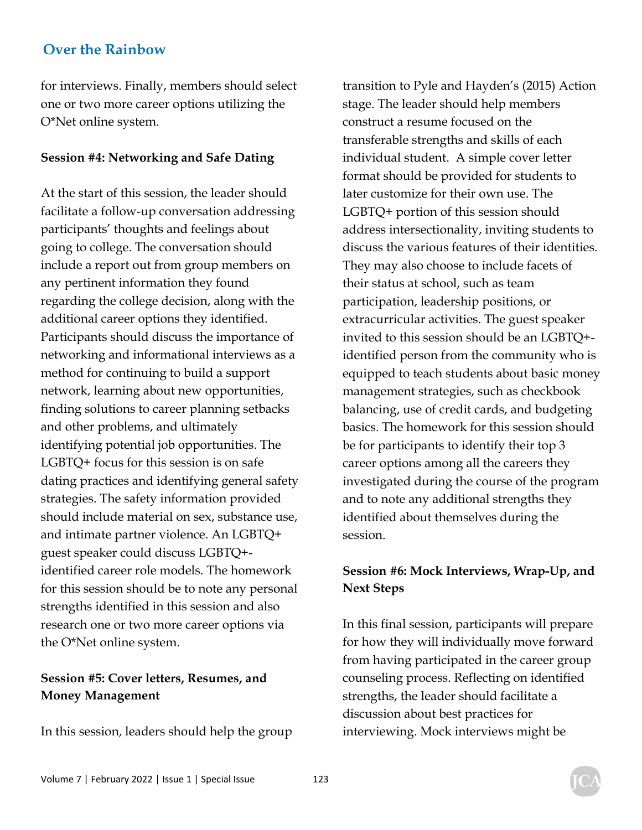for interviews. Finally, members should select one or two more career options utilizing the O\*Net online system.

#### **Session #4: Networking and Safe Dating**

At the start of this session, the leader should facilitate a follow-up conversation addressing participants' thoughts and feelings about going to college. The conversation should include a report out from group members on any pertinent information they found regarding the college decision, along with the additional career options they identified. Participants should discuss the importance of networking and informational interviews as a method for continuing to build a support network, learning about new opportunities, finding solutions to career planning setbacks and other problems, and ultimately identifying potential job opportunities. The LGBTQ+ focus for this session is on safe dating practices and identifying general safety strategies. The safety information provided should include material on sex, substance use, and intimate partner violence. An LGBTQ+ guest speaker could discuss LGBTQ+ identified career role models. The homework for this session should be to note any personal strengths identified in this session and also research one or two more career options via the O\*Net online system.

## **Session #5: Cover letters, Resumes, and Money Management**

In this session, leaders should help the group

transition to Pyle and Hayden's (2015) Action stage. The leader should help members construct a resume focused on the transferable strengths and skills of each individual student. A simple cover letter format should be provided for students to later customize for their own use. The LGBTQ+ portion of this session should address intersectionality, inviting students to discuss the various features of their identities. They may also choose to include facets of their status at school, such as team participation, leadership positions, or extracurricular activities. The guest speaker invited to this session should be an LGBTQ+ identified person from the community who is equipped to teach students about basic money management strategies, such as checkbook balancing, use of credit cards, and budgeting basics. The homework for this session should be for participants to identify their top 3 career options among all the careers they investigated during the course of the program and to note any additional strengths they identified about themselves during the session.

## **Session #6: Mock Interviews, Wrap-Up, and Next Steps**

In this final session, participants will prepare for how they will individually move forward from having participated in the career group counseling process. Reflecting on identified strengths, the leader should facilitate a discussion about best practices for interviewing. Mock interviews might be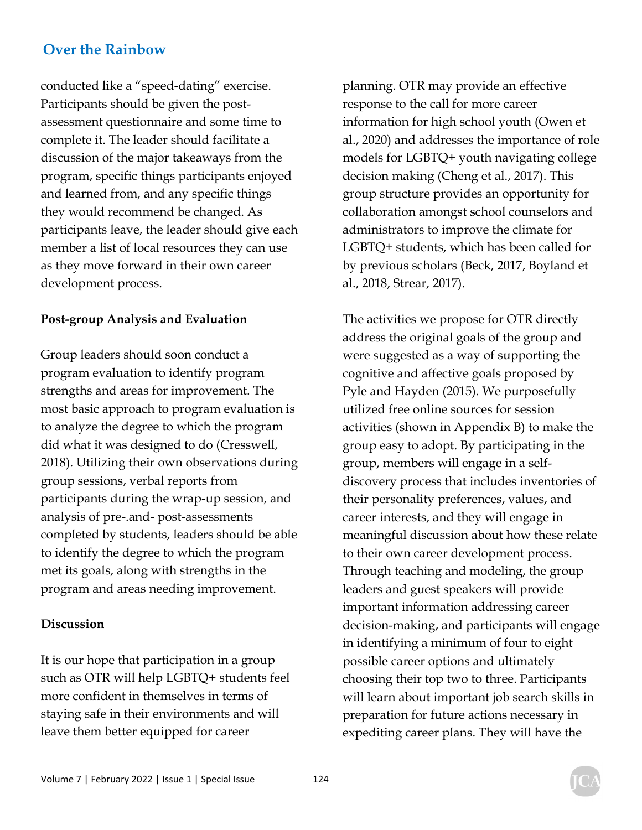conducted like a "speed-dating" exercise. Participants should be given the postassessment questionnaire and some time to complete it. The leader should facilitate a discussion of the major takeaways from the program, specific things participants enjoyed and learned from, and any specific things they would recommend be changed. As participants leave, the leader should give each member a list of local resources they can use as they move forward in their own career development process.

#### **Post-group Analysis and Evaluation**

Group leaders should soon conduct a program evaluation to identify program strengths and areas for improvement. The most basic approach to program evaluation is to analyze the degree to which the program did what it was designed to do (Cresswell, 2018). Utilizing their own observations during group sessions, verbal reports from participants during the wrap-up session, and analysis of pre-.and- post-assessments completed by students, leaders should be able to identify the degree to which the program met its goals, along with strengths in the program and areas needing improvement.

#### **Discussion**

It is our hope that participation in a group such as OTR will help LGBTQ+ students feel more confident in themselves in terms of staying safe in their environments and will leave them better equipped for career

planning. OTR may provide an effective response to the call for more career information for high school youth (Owen et al., 2020) and addresses the importance of role models for LGBTQ+ youth navigating college decision making (Cheng et al., 2017). This group structure provides an opportunity for collaboration amongst school counselors and administrators to improve the climate for LGBTQ+ students, which has been called for by previous scholars (Beck, 2017, Boyland et al., 2018, Strear, 2017).

The activities we propose for OTR directly address the original goals of the group and were suggested as a way of supporting the cognitive and affective goals proposed by Pyle and Hayden (2015). We purposefully utilized free online sources for session activities (shown in Appendix B) to make the group easy to adopt. By participating in the group, members will engage in a selfdiscovery process that includes inventories of their personality preferences, values, and career interests, and they will engage in meaningful discussion about how these relate to their own career development process. Through teaching and modeling, the group leaders and guest speakers will provide important information addressing career decision-making, and participants will engage in identifying a minimum of four to eight possible career options and ultimately choosing their top two to three. Participants will learn about important job search skills in preparation for future actions necessary in expediting career plans. They will have the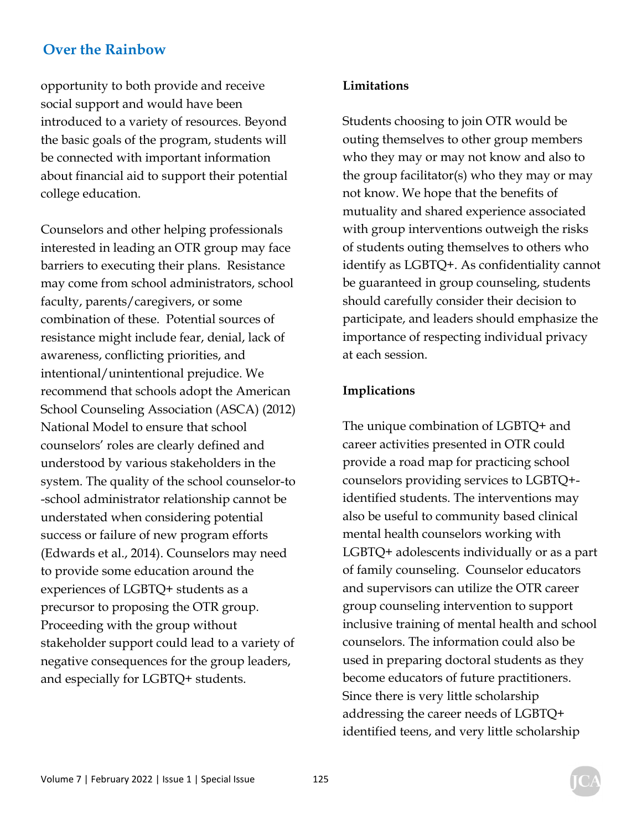opportunity to both provide and receive social support and would have been introduced to a variety of resources. Beyond the basic goals of the program, students will be connected with important information about financial aid to support their potential college education.

Counselors and other helping professionals interested in leading an OTR group may face barriers to executing their plans. Resistance may come from school administrators, school faculty, parents/caregivers, or some combination of these. Potential sources of resistance might include fear, denial, lack of awareness, conflicting priorities, and intentional/unintentional prejudice. We recommend that schools adopt the American School Counseling Association (ASCA) (2012) National Model to ensure that school counselors' roles are clearly defined and understood by various stakeholders in the system. The quality of the school counselor-to -school administrator relationship cannot be understated when considering potential success or failure of new program efforts (Edwards et al., 2014). Counselors may need to provide some education around the experiences of LGBTQ+ students as a precursor to proposing the OTR group. Proceeding with the group without stakeholder support could lead to a variety of negative consequences for the group leaders, and especially for LGBTQ+ students.

#### **Limitations**

Students choosing to join OTR would be outing themselves to other group members who they may or may not know and also to the group facilitator(s) who they may or may not know. We hope that the benefits of mutuality and shared experience associated with group interventions outweigh the risks of students outing themselves to others who identify as LGBTQ+. As confidentiality cannot be guaranteed in group counseling, students should carefully consider their decision to participate, and leaders should emphasize the importance of respecting individual privacy at each session.

#### **Implications**

The unique combination of LGBTQ+ and career activities presented in OTR could provide a road map for practicing school counselors providing services to LGBTQ+ identified students. The interventions may also be useful to community based clinical mental health counselors working with LGBTQ+ adolescents individually or as a part of family counseling. Counselor educators and supervisors can utilize the OTR career group counseling intervention to support inclusive training of mental health and school counselors. The information could also be used in preparing doctoral students as they become educators of future practitioners. Since there is very little scholarship addressing the career needs of LGBTQ+ identified teens, and very little scholarship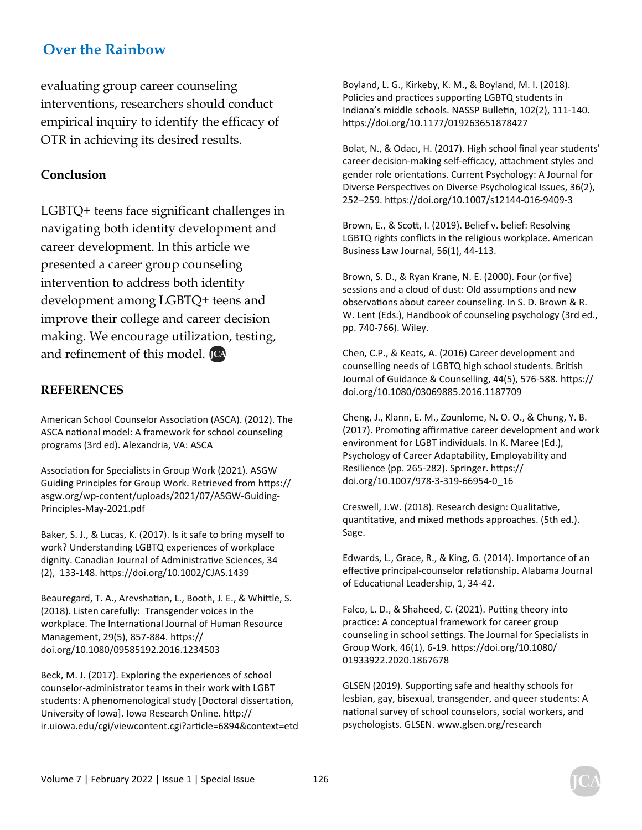evaluating group career counseling interventions, researchers should conduct empirical inquiry to identify the efficacy of OTR in achieving its desired results.

#### **Conclusion**

LGBTQ+ teens face significant challenges in navigating both identity development and career development. In this article we presented a career group counseling intervention to address both identity development among LGBTQ+ teens and improve their college and career decision making. We encourage utilization, testing, and refinement of this model. [CA

#### **REFERENCES**

American School Counselor Association (ASCA). (2012). The ASCA national model: A framework for school counseling programs (3rd ed). Alexandria, VA: ASCA

Association for Specialists in Group Work (2021). ASGW Guiding Principles for Group Work. Retrieved from https:// asgw.org/wp-content/uploads/2021/07/ASGW-Guiding-Principles-May-2021.pdf

Baker, S. J., & Lucas, K. (2017). Is it safe to bring myself to work? Understanding LGBTQ experiences of workplace dignity. Canadian Journal of Administrative Sciences, 34 (2), 133-148. hƩps://doi.org/10.1002/CJAS.1439

Beauregard, T. A., Arevshatian, L., Booth, J. E., & Whittle, S. (2018). Listen carefully: Transgender voices in the workplace. The International Journal of Human Resource Management, 29(5), 857-884. https:// doi.org/10.1080/09585192.2016.1234503

Beck, M. J. (2017). Exploring the experiences of school counselor-administrator teams in their work with LGBT students: A phenomenological study [Doctoral dissertation, University of Iowa]. Iowa Research Online. http:// ir.uiowa.edu/cgi/viewcontent.cgi?article=6894&context=etd Boyland, L. G., Kirkeby, K. M., & Boyland, M. I. (2018). Policies and practices supporting LGBTQ students in Indiana's middle schools. NASSP Bulletin, 102(2), 111-140. https://doi.org/10.1177/019263651878427

Bolat, N., & Odacı, H. (2017). High school final year students' career decision-making self-efficacy, attachment styles and gender role orientations. Current Psychology: A Journal for Diverse Perspectives on Diverse Psychological Issues, 36(2), 252–259. hƩps://doi.org/10.1007/s12144-016-9409-3

Brown, E., & Scott, I. (2019). Belief v. belief: Resolving LGBTQ rights conflicts in the religious workplace. American Business Law Journal, 56(1), 44-113.

Brown, S. D., & Ryan Krane, N. E. (2000). Four (or five) sessions and a cloud of dust: Old assumptions and new observations about career counseling. In S. D. Brown & R. W. Lent (Eds.), Handbook of counseling psychology (3rd ed., pp. 740-766). Wiley.

Chen, C.P., & Keats, A. (2016) Career development and counselling needs of LGBTQ high school students. British Journal of Guidance & Counselling, 44(5), 576-588. https:// doi.org/10.1080/03069885.2016.1187709

Cheng, J., Klann, E. M., Zounlome, N. O. O., & Chung, Y. B. (2017). Promoting affirmative career development and work environment for LGBT individuals. In K. Maree (Ed.), Psychology of Career Adaptability, Employability and Resilience (pp. 265-282). Springer. https:// doi.org/10.1007/978-3-319-66954-0\_16

Creswell, J.W. (2018). Research design: Qualitative, quantitative, and mixed methods approaches. (5th ed.). Sage.

Edwards, L., Grace, R., & King, G. (2014). Importance of an effective principal-counselor relationship. Alabama Journal of Educational Leadership, 1, 34-42.

Falco, L. D., & Shaheed, C. (2021). Putting theory into practice: A conceptual framework for career group counseling in school settings. The Journal for Specialists in Group Work, 46(1), 6-19. hƩps://doi.org/10.1080/ 01933922.2020.1867678

GLSEN (2019). Supporting safe and healthy schools for lesbian, gay, bisexual, transgender, and queer students: A national survey of school counselors, social workers, and psychologists. GLSEN. www.glsen.org/research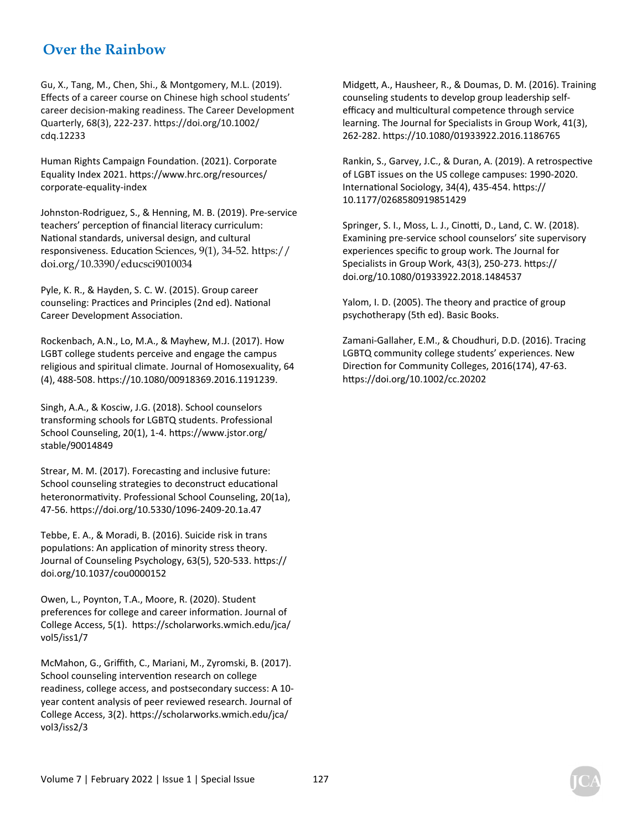Gu, X., Tang, M., Chen, Shi., & Montgomery, M.L. (2019). Effects of a career course on Chinese high school students' career decision-making readiness. The Career Development Quarterly, 68(3), 222-237. hƩps://doi.org/10.1002/ cdq.12233

Human Rights Campaign Foundation. (2021). Corporate Equality Index 2021. hƩps://www.hrc.org/resources/ corporate-equality-index

Johnston-Rodriguez, S., & Henning, M. B. (2019). Pre-service teachers' perception of financial literacy curriculum: National standards, universal design, and cultural responsiveness. Education Sciences, 9(1), 34-52. https:// doi.org/10.3390/educsci9010034

Pyle, K. R., & Hayden, S. C. W. (2015). Group career counseling: Practices and Principles (2nd ed). National Career Development Association.

Rockenbach, A.N., Lo, M.A., & Mayhew, M.J. (2017). How LGBT college students perceive and engage the campus religious and spiritual climate. Journal of Homosexuality, 64 (4), 488-508. hƩps://10.1080/00918369.2016.1191239.

Singh, A.A., & Kosciw, J.G. (2018). School counselors transforming schools for LGBTQ students. Professional School Counseling, 20(1), 1-4. https://www.jstor.org/ stable/90014849

Strear, M. M. (2017). Forecasting and inclusive future: School counseling strategies to deconstruct educational heteronormativity. Professional School Counseling, 20(1a), 47-56. hƩps://doi.org/10.5330/1096-2409-20.1a.47

Tebbe, E. A., & Moradi, B. (2016). Suicide risk in trans populations: An application of minority stress theory. Journal of Counseling Psychology, 63(5), 520-533. https:// doi.org/10.1037/cou0000152

Owen, L., Poynton, T.A., Moore, R. (2020). Student preferences for college and career information. Journal of College Access, 5(1). hƩps://scholarworks.wmich.edu/jca/ vol5/iss1/7

McMahon, G., Griffith, C., Mariani, M., Zyromski, B. (2017). School counseling intervention research on college readiness, college access, and postsecondary success: A 10 year content analysis of peer reviewed research. Journal of College Access, 3(2). https://scholarworks.wmich.edu/jca/ vol3/iss2/3

MidgeƩ, A., Hausheer, R., & Doumas, D. M. (2016). Training counseling students to develop group leadership selfefficacy and multicultural competence through service learning. The Journal for Specialists in Group Work, 41(3), 262-282. hƩps://10.1080/01933922.2016.1186765

Rankin, S., Garvey, J.C., & Duran, A. (2019). A retrospective of LGBT issues on the US college campuses: 1990-2020. International Sociology, 34(4), 435-454. https:// 10.1177/0268580919851429

Springer, S. I., Moss, L. J., Cinotti, D., Land, C. W. (2018). Examining pre-service school counselors' site supervisory experiences specific to group work. The Journal for Specialists in Group Work, 43(3), 250-273. https:// doi.org/10.1080/01933922.2018.1484537

Yalom, I. D. (2005). The theory and practice of group psychotherapy (5th ed). Basic Books.

Zamani-Gallaher, E.M., & Choudhuri, D.D. (2016). Tracing LGBTQ community college students' experiences. New Direction for Community Colleges, 2016(174), 47-63. https://doi.org/10.1002/cc.20202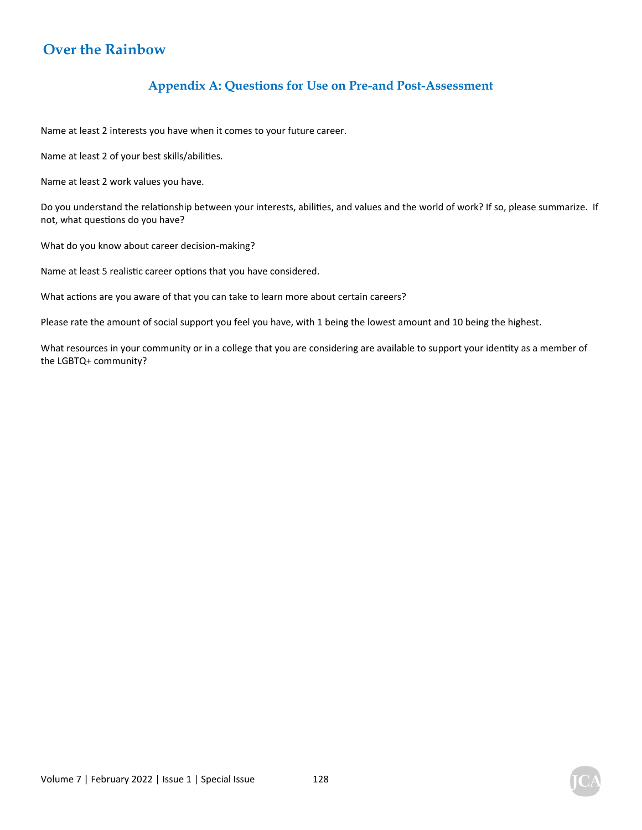### **Appendix A: Questions for Use on Pre-and Post-Assessment**

Name at least 2 interests you have when it comes to your future career.

Name at least 2 of your best skills/abilities.

Name at least 2 work values you have.

Do you understand the relationship between your interests, abilities, and values and the world of work? If so, please summarize. If not, what questions do you have?

What do you know about career decision-making?

Name at least 5 realistic career options that you have considered.

What actions are you aware of that you can take to learn more about certain careers?

Please rate the amount of social support you feel you have, with 1 being the lowest amount and 10 being the highest.

What resources in your community or in a college that you are considering are available to support your identity as a member of the LGBTQ+ community?